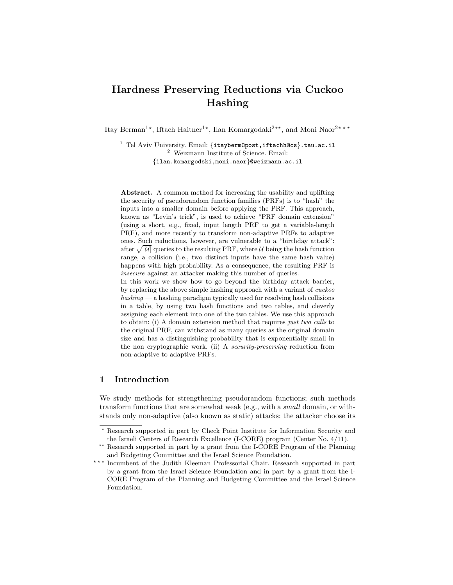# **Hardness Preserving Reductions via Cuckoo Hashing**

Itay Berman<sup>1</sup><sup>\*</sup>, Iftach Haitner<sup>1</sup><sup>\*</sup>, Ilan Komargodaki<sup>2</sup><sup>\*\*</sup>, and Moni Naor<sup>2\*\*\*</sup>

<sup>1</sup> Tel Aviv University. Email: *{*itayberm@post,iftachh@cs*}*.tau.ac.il <sup>2</sup> Weizmann Institute of Science. Email: *{*ilan.komargodski,moni.naor*}*@weizmann.ac.il

**Abstract.** A common method for increasing the usability and uplifting the security of pseudorandom function families (PRFs) is to "hash" the inputs into a smaller domain before applying the PRF. This approach, known as "Levin's trick", is used to achieve "PRF domain extension" (using a short, e.g., fixed, input length PRF to get a variable-length PRF), and more recently to transform non-adaptive PRFs to adaptive ones. Such reductions, however, are vulnerable to a "birthday attack": after  $\sqrt{|\mathcal{U}|}$  queries to the resulting PRF, where  $\mathcal U$  being the hash function range, a collision (i.e., two distinct inputs have the same hash value) happens with high probability. As a consequence, the resulting PRF is *insecure* against an attacker making this number of queries.

In this work we show how to go beyond the birthday attack barrier, by replacing the above simple hashing approach with a variant of *cuckoo hashing* — a hashing paradigm typically used for resolving hash collisions in a table, by using two hash functions and two tables, and cleverly assigning each element into one of the two tables. We use this approach to obtain: (i) A domain extension method that requires *just two calls* to the original PRF, can withstand as many queries as the original domain size and has a distinguishing probability that is exponentially small in the non cryptographic work. (ii) A *security-preserving* reduction from non-adaptive to adaptive PRFs.

### **1 Introduction**

We study methods for strengthening pseudorandom functions; such methods transform functions that are somewhat weak (e.g., with a *small* domain, or withstands only non-adaptive (also known as static) attacks: the attacker choose its

*<sup>⋆</sup>* Research supported in part by Check Point Institute for Information Security and the Israeli Centers of Research Excellence (I-CORE) program (Center No. 4/11).

*<sup>⋆⋆</sup>* Research supported in part by a grant from the I-CORE Program of the Planning and Budgeting Committee and the Israel Science Foundation.

*<sup>⋆ ⋆ ⋆</sup>* Incumbent of the Judith Kleeman Professorial Chair. Research supported in part by a grant from the Israel Science Foundation and in part by a grant from the I-CORE Program of the Planning and Budgeting Committee and the Israel Science Foundation.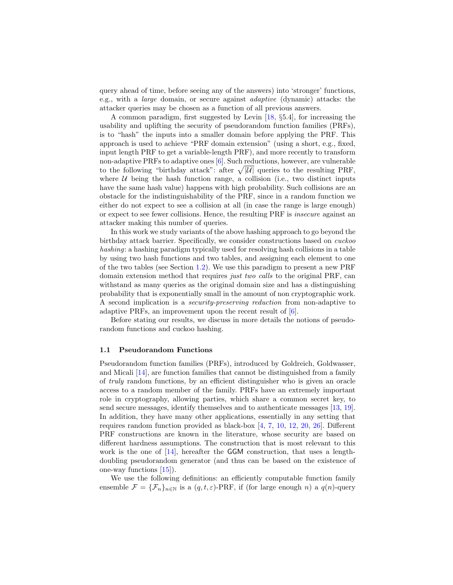query ahead of time, before seeing any of the answers) into 'stronger' functions, e.g., with a *large* domain, or secure against *adaptive* (dynamic) attacks: the attacker queries may be chosen as a function of all previous answers.

A common paradigm, first suggested by Levin [[18,](#page-19-0) *§*5.4], for increasing the usability and uplifting the security of pseudorandom function families (PRFs), is to "hash" the inputs into a smaller domain before applying the PRF. This approach is used to achieve "PRF domain extension" (using a short, e.g., fixed, input length PRF to get a variable-length PRF), and more recently to transform non-adaptive PRFs to adaptive ones [\[6](#page-18-0)]. Such reductions, however, are vulnerable to the following "birthday attack": after  $\sqrt{|U|}$  queries to the resulting PRF, where  $U$  being the hash function range, a collision (i.e., two distinct inputs have the same hash value) happens with high probability. Such collisions are an obstacle for the indistinguishability of the PRF, since in a random function we either do not expect to see a collision at all (in case the range is large enough) or expect to see fewer collisions. Hence, the resulting PRF is *insecure* against an attacker making this number of queries.

In this work we study variants of the above hashing approach to go beyond the birthday attack barrier. Specifically, we consider constructions based on *cuckoo hashing*: a hashing paradigm typically used for resolving hash collisions in a table by using two hash functions and two tables, and assigning each element to one of the two tables (see Section [1.2\)](#page-2-0). We use this paradigm to present a new PRF domain extension method that requires *just two calls* to the original PRF, can withstand as many queries as the original domain size and has a distinguishing probability that is exponentially small in the amount of non cryptographic work. A second implication is a *security-preserving reduction* from non-adaptive to adaptive PRFs, an improvement upon the recent result of [\[6](#page-18-0)].

Before stating our results, we discuss in more details the notions of pseudorandom functions and cuckoo hashing.

#### **1.1 Pseudorandom Functions**

Pseudorandom function families (PRFs), introduced by Goldreich, Goldwasser, and Micali [\[14](#page-18-1)], are function families that cannot be distinguished from a family of *truly* random functions, by an efficient distinguisher who is given an oracle access to a random member of the family. PRFs have an extremely important role in cryptography, allowing parties, which share a common secret key, to send secure messages, identify themselves and to authenticate messages [\[13](#page-18-2), [19](#page-19-1)]. In addition, they have many other applications, essentially in any setting that requires random function provided as black-box [[4](#page-18-3), [7,](#page-18-4) [10](#page-18-5), [12](#page-18-6), [20,](#page-19-2) [26](#page-19-3)]. Different PRF constructions are known in the literature, whose security are based on different hardness assumptions. The construction that is most relevant to this work is the one of  $[14]$  $[14]$ , hereafter the GGM construction, that uses a lengthdoubling pseudorandom generator (and thus can be based on the existence of one-way functions [[15\]](#page-18-7)).

We use the following definitions: an efficiently computable function family ensemble  $\mathcal{F} = {\{\mathcal{F}_n\}}_{n \in \mathbb{N}}$  is a  $(q, t, \varepsilon)$ -PRF, if (for large enough *n*) a  $q(n)$ -query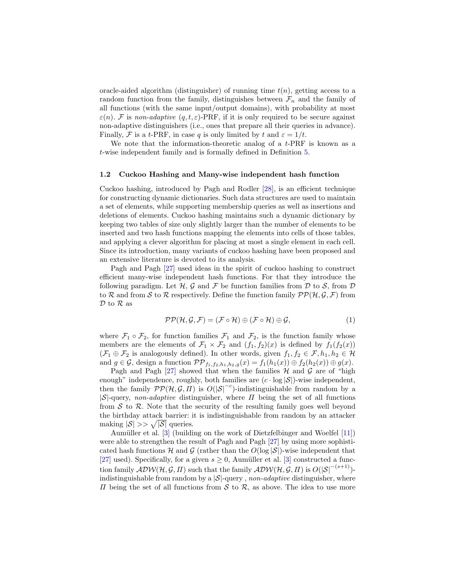oracle-aided algorithm (distinguisher) of running time *t*(*n*), getting access to a random function from the family, distinguishes between  $\mathcal{F}_n$  and the family of all functions (with the same input/output domains), with probability at most  $\varepsilon(n)$ . *F* is *non-adaptive*  $(q, t, \varepsilon)$ -PRF, if it is only required to be secure against non-adaptive distinguishers (i.e., ones that prepare all their queries in advance). Finally, *F* is a *t*-PRF, in case *q* is only limited by *t* and  $\varepsilon = 1/t$ .

We note that the information-theoretic analog of a *t*-PRF is known as a *t*-wise independent family and is formally defined in Definition [5](#page-8-0).

#### <span id="page-2-0"></span>**1.2 Cuckoo Hashing and Many-wise independent hash function**

Cuckoo hashing, introduced by Pagh and Rodler [\[28](#page-19-4)], is an efficient technique for constructing dynamic dictionaries. Such data structures are used to maintain a set of elements, while supporting membership queries as well as insertions and deletions of elements. Cuckoo hashing maintains such a dynamic dictionary by keeping two tables of size only slightly larger than the number of elements to be inserted and two hash functions mapping the elements into cells of those tables, and applying a clever algorithm for placing at most a single element in each cell. Since its introduction, many variants of cuckoo hashing have been proposed and an extensive literature is devoted to its analysis.

Pagh and Pagh [[27\]](#page-19-5) used ideas in the spirit of cuckoo hashing to construct efficient many-wise independent hash functions. For that they introduce the following paradigm. Let  $H$ ,  $G$  and  $F$  be function families from  $D$  to  $S$ , from  $D$ to  $R$  and from  $S$  to  $R$  respectively. Define the function family  $PP(H, \mathcal{G}, \mathcal{F})$  from *D* to *R* as

$$
\mathcal{PP}(\mathcal{H}, \mathcal{G}, \mathcal{F}) = (\mathcal{F} \circ \mathcal{H}) \oplus (\mathcal{F} \circ \mathcal{H}) \oplus \mathcal{G}, \tag{1}
$$

where  $\mathcal{F}_1 \circ \mathcal{F}_2$ , for function families  $\mathcal{F}_1$  and  $\mathcal{F}_2$ , is the function family whose members are the elements of  $\mathcal{F}_1 \times \mathcal{F}_2$  and  $(f_1, f_2)(x)$  is defined by  $f_1(f_2(x))$  $(\mathcal{F}_1 \oplus \mathcal{F}_2)$  is analogously defined). In other words, given  $f_1, f_2 \in \mathcal{F}, h_1, h_2 \in \mathcal{H}$ and  $g \in \mathcal{G}$ , design a function  $\mathcal{PP}_{f_1,f_2,h_1,h_2,g}(x) = f_1(h_1(x)) \oplus f_2(h_2(x)) \oplus g(x)$ .

Pagh and Pagh  $[27]$  $[27]$  showed that when the families  $H$  and  $G$  are of "high enough" independence, roughly, both families are  $(c \cdot \log |\mathcal{S}|)$ -wise independent, then the family  $\mathcal{PP}(\mathcal{H}, \mathcal{G}, \Pi)$  is  $O(|\mathcal{S}|^{-c})$ -indistinguishable from random by a *|S|*-query, *non-adaptive* distinguisher, where *Π* being the set of all functions from  $S$  to  $R$ . Note that the security of the resulting family goes well beyond the birthday attack barrier: it is indistinguishable from random by an attacker making  $|\mathcal{S}| \gg \sqrt{|\mathcal{S}|}$  queries.

Aumüller et al.  $\begin{bmatrix} 3 \end{bmatrix}$  $\begin{bmatrix} 3 \end{bmatrix}$  $\begin{bmatrix} 3 \end{bmatrix}$  (building on the work of Dietzfelbinger and Woelfel  $\begin{bmatrix} 11 \end{bmatrix}$ ) were able to strengthen the result of Pagh and Pagh [[27\]](#page-19-5) by using more sophisticated hash functions  $H$  and  $G$  (rather than the  $O(\log |\mathcal{S}|)$ -wise independent that [[27](#page-19-5)] used). Specifically, for a given  $s \geq 0$ , Aumüller et al. [\[3](#page-18-8)] constructed a function family  $\mathcal{ADW}(\mathcal{H}, \mathcal{G}, \Pi)$  such that the family  $\mathcal{ADW}(\mathcal{H}, \mathcal{G}, \Pi)$  is  $O(|\mathcal{S}|^{-(s+1)})$ indistinguishable from random by a *|S|*-query , *non-adaptive* distinguisher, where *Π* being the set of all functions from *S* to *R*, as above. The idea to use more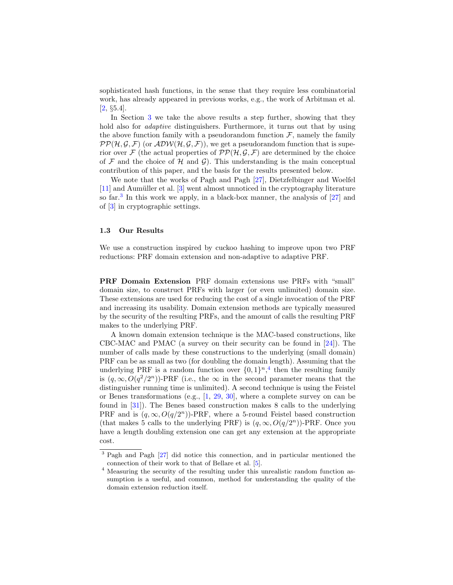sophisticated hash functions, in the sense that they require less combinatorial work, has already appeared in previous works, e.g., the work of Arbitman et al. [[2,](#page-18-10) *§*5.4].

In Section [3](#page-9-0) we take the above results a step further, showing that they hold also for *adaptive* distinguishers. Furthermore, it turns out that by using the above function family with a pseudorandom function  $\mathcal{F}$ , namely the family  $PP(H, G, F)$  (or  $ADW(H, G, F)$ ), we get a pseudorandom function that is superior over *F* (the actual properties of  $PP(H, \mathcal{G}, \mathcal{F})$  are determined by the choice of  $\mathcal F$  and the choice of  $\mathcal H$  and  $\mathcal G$ ). This understanding is the main conceptual contribution of this paper, and the basis for the results presented below.

We note that the works of Pagh and Pagh [[27\]](#page-19-5), Dietzfelbinger and Woelfel [[11](#page-18-9)] and Aumüller et al. [[3\]](#page-18-8) went almost unnoticed in the cryptography literature so far.<sup>[3](#page-3-0)</sup> In this work we apply, in a black-box manner, the analysis of [[27](#page-19-5)] and of [[3\]](#page-18-8) in cryptographic settings.

#### **1.3 Our Results**

We use a construction inspired by cuckoo hashing to improve upon two PRF reductions: PRF domain extension and non-adaptive to adaptive PRF.

**PRF Domain Extension** PRF domain extensions use PRFs with "small" domain size, to construct PRFs with larger (or even unlimited) domain size. These extensions are used for reducing the cost of a single invocation of the PRF and increasing its usability. Domain extension methods are typically measured by the security of the resulting PRFs, and the amount of calls the resulting PRF makes to the underlying PRF.

A known domain extension technique is the MAC-based constructions, like CBC-MAC and PMAC (a survey on their security can be found in [[24](#page-19-6)]). The number of calls made by these constructions to the underlying (small domain) PRF can be as small as two (for doubling the domain length). Assuming that the underlying PRF is a random function over  $\{0,1\}^n$ , then the resulting family is  $(q, \infty, O(q^2/2^n))$ -PRF (i.e., the  $\infty$  in the second parameter means that the distinguisher running time is unlimited). A second technique is using the Feistel or Benes transformations (e.g., [\[1](#page-18-11), [29,](#page-19-7) [30](#page-19-8)], where a complete survey on can be found in [[31\]](#page-19-9)). The Benes based construction makes 8 calls to the underlying PRF and is  $(q, \infty, O(q/2^n))$ -PRF, where a 5-round Feistel based construction (that makes 5 calls to the underlying PRF) is  $(q, \infty, O(q/2^n))$ -PRF. Once you have a length doubling extension one can get any extension at the appropriate cost.

<span id="page-3-0"></span><sup>3</sup> Pagh and Pagh [[27](#page-19-5)] did notice this connection, and in particular mentioned the connection of their work to that of Bellare et al. [[5](#page-18-12)].

<span id="page-3-1"></span><sup>4</sup> Measuring the security of the resulting under this unrealistic random function assumption is a useful, and common, method for understanding the quality of the domain extension reduction itself.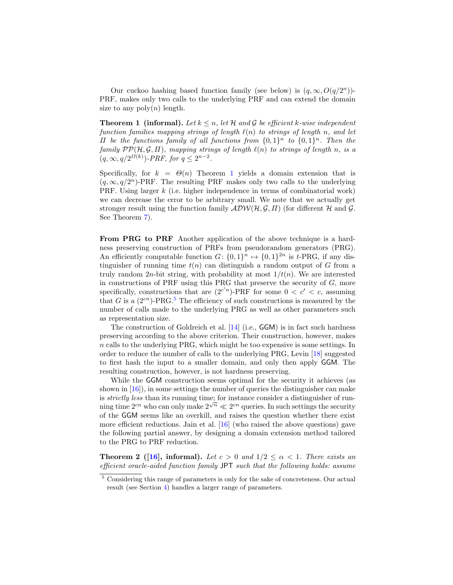Our cuckoo hashing based function family (see below) is  $(q, \infty, O(q/2^n))$ -PRF, makes only two calls to the underlying PRF and can extend the domain size to any  $poly(n)$  length.

<span id="page-4-0"></span>**Theorem 1** (informal). Let  $k \leq n$ , let  $H$  and  $G$  be efficient  $k$ *-wise independent function families mapping strings of length ℓ*(*n*) *to strings of length n, and let Π be the functions family of all functions from*  $\{0,1\}$ <sup>*n*</sup> *to*  $\{0,1\}$ <sup>*n*</sup>. *Then the family*  $PP(H, \mathcal{G}, \Pi)$ *, mapping strings of length*  $\ell(n)$  *to strings of length n, is a*  $(q, \infty, q/2^{\Omega(k)})$ -PRF, for  $q \leq 2^{n-2}$ .

Specifically, for  $k = \Theta(n)$  Theorem [1](#page-4-0) yields a domain extension that is  $(q, \infty, q/2^n)$ -PRF. The resulting PRF makes only two calls to the underlying PRF. Using larger *k* (i.e. higher independence in terms of combinatorial work) we can decrease the error to be arbitrary small. We note that we actually get stronger result using the function family  $\mathcal{ADW}(\mathcal{H}, \mathcal{G}, \Pi)$  (for different  $\mathcal{H}$  and  $\mathcal{G}$ . See Theorem 7.

**From PRG to PRF** Another application of the above technique is a hardness preserving construction of PRFs from pseudorandom generators (PRG). An efficiently computable function  $G: \{0,1\}^n \mapsto \{0,1\}^{2n}$  is *t*-PRG, if any distinguisher of running time  $t(n)$  can distinguish a random output of *G* from a truly random 2*n*-bit string, with probability at most  $1/t(n)$ . We are interested in constructions of PRF using this PRG that preserve the security of *G*, more specifically, constructions that are  $(2^{c'n})$ -PRF for some  $0 < c' < c$ , assuming that  $G$  is a  $(2^{cn})$ -PRG.<sup>[5](#page-4-1)</sup> The efficiency of such constructions is measured by the number of calls made to the underlying PRG as well as other parameters such as representation size.

The construction of Goldreich et al. [[14\]](#page-18-1) (i.e., GGM) is in fact such hardness preserving according to the above criterion. Their construction, however, makes *n* calls to the underlying PRG, which might be too expensive is some settings. In order to reduce the number of calls to the underlying PRG, Levin [\[18](#page-19-0)] suggested to first hash the input to a smaller domain, and only then apply GGM. The resulting construction, however, is not hardness preserving.

While the GGM construction seems optimal for the security it achieves (as shown in [[16\]](#page-19-10)), in some settings the number of queries the distinguisher can make is *strictly less* than its running time; for instance consider a distinguisher of run-*√* ning time  $2^{cn}$  who can only make  $2^{\sqrt{n}} \ll 2^{cn}$  queries. In such settings the security of the GGM seems like an overkill, and raises the question whether there exist more efficient reductions. Jain et al.  $[16]$  $[16]$  $[16]$  (who raised the above questions) gave the following partial answer, by designing a domain extension method tailored to the PRG to PRF reduction.

<span id="page-4-2"></span>**Theorem 2** ([[16](#page-19-10)], informal). Let  $c > 0$  and  $1/2 \leq \alpha < 1$ . There exists an *efficient oracle-aided function family* JPT *such that the following holds: assume*

<span id="page-4-1"></span><sup>5</sup> Considering this range of parameters is only for the sake of concreteness. Our actual result (see Section [4\)](#page-13-0) handles a larger range of parameters.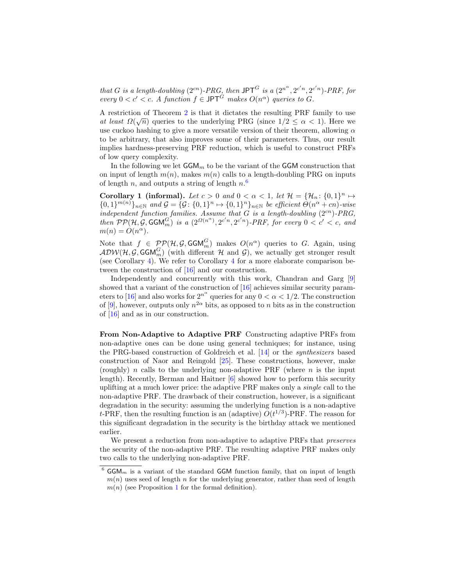*that G is a length-doubling*  $(2^{cn})$ -*PRG, then* JPT<sup>*G*</sup> *is a*  $(2^{n^{\alpha}}, 2^{c'n}, 2^{c'n})$ -*PRF, for every*  $0 < c' < c$ *. A function*  $f \in \mathsf{JPT}^G$  *makes*  $O(n^{\alpha})$  *queries to G.* 

A restriction of Theorem [2](#page-4-2) is that it dictates the resulting PRF family to use *at least*  $\Omega(\sqrt{n})$  queries to the underlying PRG (since  $1/2 \leq \alpha < 1$ ). Here we use cuckoo hashing to give a more versatile version of their theorem, allowing *α* to be arbitrary, that also improves some of their parameters. Thus, our result implies hardness-preserving PRF reduction, which is useful to construct PRFs of low query complexity.

In the following we let  $GGM_m$  to be the variant of the GGM construction that on input of length  $m(n)$ , makes  $m(n)$  calls to a length-doubling PRG on inputs of length *n*, and outputs a string of length *n*. [6](#page-5-0)

<span id="page-5-1"></span>**Corollary 1 (informal).** Let  $c > 0$  and  $0 < \alpha < 1$ , let  $\mathcal{H} = {\mathcal{H}_n : \{0,1\}^n \mapsto \emptyset}$  $\{0,1\}^{m(n)}\}_{n\in\mathbb{N}}$  and  $\mathcal{G} = \{\mathcal{G} \colon \{0,1\}^n \mapsto \{0,1\}^n\}_{n\in\mathbb{N}}$  be efficient  $\Theta(n^{\alpha}+cn)$ -wise *independent function families. Assume that G is a length-doubling* (2*cn*)*-PRG,* then  $\mathcal{PP}(\mathcal{H}, \mathcal{G}, \mathsf{GGM}_m^G)$  is a  $(2^{\Omega(n^{\alpha})}, 2^{c'n}, 2^{c'n})$ -PRF, for every  $0 < c' < c$ , and  $m(n) = O(n^{\alpha}).$ 

Note that  $f \in \mathcal{PP}(H, \mathcal{G}, \mathsf{GGM}_m^G)$  makes  $O(n^{\alpha})$  queries to *G*. Again, using  $\mathcal{ADW}(\mathcal{H}, \mathcal{G}, \mathsf{GGM}_m^G)$  (with different  $\mathcal{H}$  and  $\mathcal{G}$ ), we actually get stronger result (see Corollary [4](#page-15-0)). We refer to Corollary [4](#page-16-0) for a more elaborate comparison between the construction of [\[16](#page-19-10)] and our construction.

Independently and concurrently with this work, Chandran and Garg [[9\]](#page-18-13) showed that a variant of the construction of [[16\]](#page-19-10) achieves similar security param-eters to [[16\]](#page-19-10) and also works for  $2^{n^{\alpha}}$  queries for any  $0 < \alpha < 1/2$ . The construction of [\[9](#page-18-13)], however, outputs only  $n^{2\alpha}$  bits, as opposed to *n* bits as in the construction of [[16\]](#page-19-10) and as in our construction.

**From Non-Adaptive to Adaptive PRF** Constructing adaptive PRFs from non-adaptive ones can be done using general techniques; for instance, using the PRG-based construction of Goldreich et al. [[14\]](#page-18-1) or the *synthesizers* based construction of Naor and Reingold [\[25](#page-19-11)]. These constructions, however, make (roughly) *n* calls to the underlying non-adaptive PRF (where *n* is the input length). Recently, Berman and Haitner [[6](#page-18-0)] showed how to perform this security uplifting at a much lower price: the adaptive PRF makes only a *single* call to the non-adaptive PRF. The drawback of their construction, however, is a significant degradation in the security: assuming the underlying function is a non-adaptive *t*-PRF, then the resulting function is an (adaptive)  $O(t^{1/3})$ -PRF. The reason for this significant degradation in the security is the birthday attack we mentioned earlier.

We present a reduction from non-adaptive to adaptive PRFs that *preserves* the security of the non-adaptive PRF. The resulting adaptive PRF makes only two calls to the underlying non-adaptive PRF.

<span id="page-5-2"></span><span id="page-5-0"></span> $6$  GGM<sub>*m*</sub> is a variant of the standard GGM function family, that on input of length  $m(n)$  uses seed of length *n* for the underlying generator, rather than seed of length  $m(n)$  (see Proposition [1](#page-15-1) for the formal definition).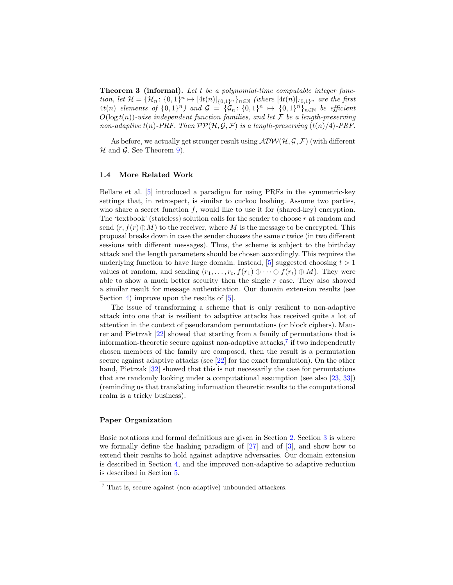**Theorem 3 (informal).** *Let t be a polynomial-time computable integer func*tion, let  $\mathcal{H} = {\mathcal{H}_n : \{0,1\}^n \mapsto [4t(n)]_{\{0,1\}^n}}_{n \in \mathbb{N}}$  (where  $[4t(n)]_{\{0,1\}^n}$  are the first  $4t(n)$  elements of  $\{0,1\}^n$ ) and  $\mathcal{G} = \{\mathcal{G}_n: \{0,1\}^n \mapsto \{0,1\}^n\}_{n \in \mathbb{N}}$  be efficient  $O(\log t(n))$ -wise independent function families, and let  $\mathcal F$  be a length-preserving *non-adaptive*  $t(n)$ *-PRF. Then*  $PP(H, \mathcal{G}, \mathcal{F})$  *is a length-preserving*  $(t(n)/4)$ *-PRF.* 

As before, we actually get stronger result using  $\mathcal{ADW}(\mathcal{H}, \mathcal{G}, \mathcal{F})$  (with different  $H$  and  $G$ . See Theorem [9](#page-17-0)).

#### **1.4 More Related Work**

Bellare et al. [[5\]](#page-18-12) introduced a paradigm for using PRFs in the symmetric-key settings that, in retrospect, is similar to cuckoo hashing. Assume two parties, who share a secret function f, would like to use it for (shared-key) encryption. The 'textbook' (stateless) solution calls for the sender to choose *r* at random and send  $(r, f(r) \oplus M)$  to the receiver, where *M* is the message to be encrypted. This proposal breaks down in case the sender chooses the same *r* twice (in two different sessions with different messages). Thus, the scheme is subject to the birthday attack and the length parameters should be chosen accordingly. This requires the underlying function to have large domain. Instead,  $[5]$  $[5]$  $[5]$  suggested choosing  $t > 1$ values at random, and sending  $(r_1, \ldots, r_t, f(r_1) \oplus \cdots \oplus f(r_t) \oplus M)$ . They were able to show a much better security then the single *r* case. They also showed a similar result for message authentication. Our domain extension results (see Section [4\)](#page-13-0) improve upon the results of  $[5]$  $[5]$ .

The issue of transforming a scheme that is only resilient to non-adaptive attack into one that is resilient to adaptive attacks has received quite a lot of attention in the context of pseudorandom permutations (or block ciphers). Maurer and Pietrzak [\[22](#page-19-12)] showed that starting from a family of permutations that is information-theoretic secure against non-adaptive attacks,<sup>[7](#page-6-0)</sup> if two independently chosen members of the family are composed, then the result is a permutation secure against adaptive attacks (see [\[22](#page-19-12)] for the exact formulation). On the other hand, Pietrzak  $[32]$  $[32]$  showed that this is not necessarily the case for permutations that are randomly looking under a computational assumption (see also [[23](#page-19-14), [33\]](#page-19-15)) (reminding us that translating information theoretic results to the computational realm is a tricky business).

#### **Paper Organization**

Basic notations and formal definitions are given in Section [2.](#page-7-0) Section [3](#page-9-0) is where we formally define the hashing paradigm of [[27\]](#page-19-5) and of [\[3](#page-18-8)], and show how to extend their results to hold against adaptive adversaries. Our domain extension is described in Section [4,](#page-13-0) and the improved non-adaptive to adaptive reduction is described in Section [5](#page-16-1).

<span id="page-6-0"></span><sup>7</sup> That is, secure against (non-adaptive) unbounded attackers.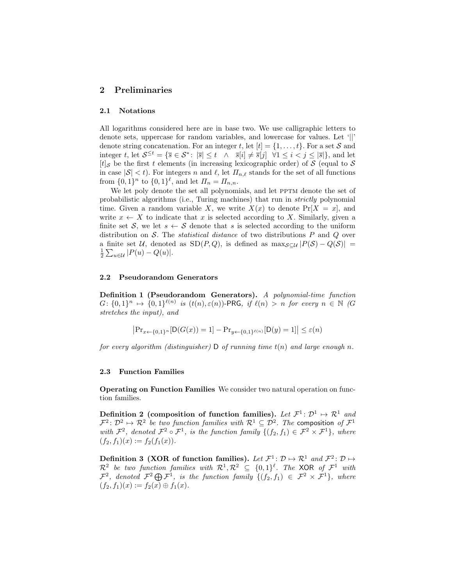### <span id="page-7-0"></span>**2 Preliminaries**

#### **2.1 Notations**

All logarithms considered here are in base two. We use calligraphic letters to denote sets, uppercase for random variables, and lowercase for values. Let '*||*' denote string concatenation. For an integer *t*, let  $[t] = \{1, \ldots, t\}$ . For a set *S* and integer t, let  $S^{\leq t} = \{ \overline{s} \in S^* : |\overline{s}| \leq t \quad \wedge \quad \overline{s}[i] \neq \overline{s}[j] \quad \forall 1 \leq i < j \leq |\overline{s}| \}$ , and let  $[t]$ <sub>*S*</sub> be the first *t* elements (in increasing lexicographic order) of *S* (equal to *S* in case  $|\mathcal{S}| < t$ ). For integers *n* and  $\ell$ , let  $\Pi_{n,\ell}$  stands for the set of all functions from  $\{0,1\}^n$  to  $\{0,1\}^{\ell}$ , and let  $\Pi_n = \Pi_{n,n}$ .

We let poly denote the set all polynomials, and let PPTM denote the set of probabilistic algorithms (i.e., Turing machines) that run in *strictly* polynomial time. Given a random variable X, we write  $X(x)$  to denote  $Pr[X = x]$ , and write  $x \leftarrow X$  to indicate that x is selected according to X. Similarly, given a finite set  $S$ , we let  $s \leftarrow S$  denote that s is selected according to the uniform distribution on *S*. The *statistical distance* of two distributions *P* and *Q* over a finite set *U*, denoted as  $SD(P, Q)$ , is defined as  $max_{S \subset U} |P(S) - Q(S)|$  $\frac{1}{2} \sum_{u \in \mathcal{U}} |P(u) - Q(u)|$ .

#### **2.2 Pseudorandom Generators**

**Definition 1 (Pseudorandom Generators).** *A polynomial-time function*  $G\colon \{0,1\}^n \,\mapsto\, \{0,1\}^{\ell(n)}$  is  $(t(n),\varepsilon(n))$ -PRG, if  $\ell(n) \,>\, n$  for every  $n \,\in\, \mathbb{N}$  (G *stretches the input), and*

$$
|\Pr_{x \leftarrow \{0,1\}^n}[\mathsf{D}(G(x)) = 1] - \Pr_{y \leftarrow \{0,1\}^{\ell(n)}}[\mathsf{D}(y) = 1]| \leq \varepsilon(n)
$$

*for every algorithm (distinguisher)* D *of running time t*(*n*) *and large enough n.*

#### **2.3 Function Families**

<span id="page-7-1"></span>**Operating on Function Families** We consider two natural operation on function families.

**Definition 2** (composition of function families). Let  $\mathcal{F}^1$ :  $\mathcal{D}^1 \mapsto \mathcal{R}^1$  and  $\mathcal{F}^2\colon\mathcal{D}^2\mapsto\mathcal{R}^2$  *be two function families with*  $\mathcal{R}^1\subseteq\mathcal{D}^2$ . The composition of  $\mathcal{F}^1$ *with*  $\mathcal{F}^2$ *, denoted*  $\mathcal{F}^2 \circ \mathcal{F}^1$ *, is the function family*  $\{(f_2, f_1) \in \mathcal{F}^2 \times \mathcal{F}^1\}$ *, where*  $(f_2, f_1)(x) := f_2(f_1(x)).$ 

<span id="page-7-2"></span>Definition 3 (XOR of function families). Let  $\mathcal{F}^1$ :  $\mathcal{D} \mapsto \mathcal{R}^1$  and  $\mathcal{F}^2$ :  $\mathcal{D} \mapsto$  $\mathcal{R}^2$  be two function families with  $\mathcal{R}^1, \mathcal{R}^2 \subseteq \{0,1\}^{\ell}$ . The XOR of  $\mathcal{F}^1$  with  $\mathcal{F}^2$ , denoted  $\mathcal{F}^2 \bigoplus \mathcal{F}^1$ , is the function family  $\{(f_2, f_1) \in \mathcal{F}^2 \times \mathcal{F}^1\}$ , where  $(f_2, f_1)(x) := f_2(x) \oplus f_1(x)$ .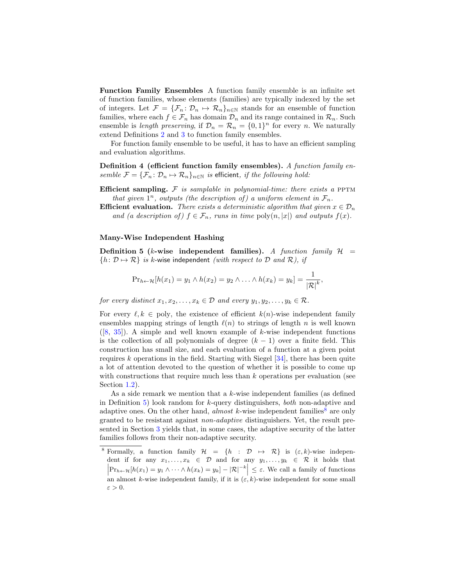**Function Family Ensembles** A function family ensemble is an infinite set of function families, whose elements (families) are typically indexed by the set of integers. Let  $\mathcal{F} = {\{\mathcal{F}_n : \mathcal{D}_n \mapsto \mathcal{R}_n\}_{n \in \mathbb{N}}}$  stands for an ensemble of function families, where each  $f \in \mathcal{F}_n$  has domain  $\mathcal{D}_n$  and its range contained in  $\mathcal{R}_n$ . Such ensemble is *length preserving*, if  $\mathcal{D}_n = \mathcal{R}_n = \{0,1\}^n$  for every *n*. We naturally extend Definitions [2](#page-7-1) and [3](#page-7-2) to function family ensembles.

For function family ensemble to be useful, it has to have an efficient sampling and evaluation algorithms.

**Definition 4 (efficient function family ensembles).** *A function family ensemble*  $\mathcal{F} = {\mathcal{F}_n : \mathcal{D}_n \mapsto \mathcal{R}_n}_{n \in \mathbb{N}}$  *is* efficient, *if the following hold:* 

**Efficient sampling.**  $F$  *is samplable in polynomial-time: there exists a* PPTM *that given*  $1^n$ *, outputs (the description of) a uniform element in*  $\mathcal{F}_n$ *.* 

**Efficient evaluation.** *There exists a deterministic algorithm that given*  $x \in \mathcal{D}_n$ *and* (*a description of*)  $f \in \mathcal{F}_n$ , runs in time  $\text{poly}(n, |x|)$  *and outputs*  $f(x)$ *.* 

#### <span id="page-8-0"></span>**Many-Wise Independent Hashing**

**Definition 5** (*k***-wise independent families**). A function family  $H =$  ${h: \mathcal{D} \mapsto \mathcal{R}}$  *is k*-wise independent *(with respect to*  $\mathcal{D}$  *and*  $\mathcal{R}$ *), if* 

$$
\Pr_{h \leftarrow \mathcal{H}}[h(x_1) = y_1 \wedge h(x_2) = y_2 \wedge \ldots \wedge h(x_k) = y_k] = \frac{1}{|\mathcal{R}|^k},
$$

*for every distinct*  $x_1, x_2, \ldots, x_k \in \mathcal{D}$  *and every*  $y_1, y_2, \ldots, y_k \in \mathcal{R}$ .

For every  $\ell, k \in \text{poly}$ , the existence of efficient  $k(n)$ -wise independent family ensembles mapping strings of length  $\ell(n)$  to strings of length *n* is well known ([\[8](#page-18-14), [35\]](#page-19-16)). A simple and well known example of *k*-wise independent functions is the collection of all polynomials of degree  $(k-1)$  over a finite field. This construction has small size, and each evaluation of a function at a given point requires *k* operations in the field. Starting with Siegel [[34\]](#page-19-17), there has been quite a lot of attention devoted to the question of whether it is possible to come up with constructions that require much less than *k* operations per evaluation (see Section [1.2](#page-2-0)).

As a side remark we mention that a *k*-wise independent families (as defined in Definition [5](#page-8-0)) look random for *k*-query distinguishers, *both* non-adaptive and adaptive ones. On the other hand, *almost*  $k$ -wise independent families<sup>[8](#page-8-1)</sup> are only granted to be resistant against *non-adaptive* distinguishers. Yet, the result presented in Section [3](#page-9-0) yields that, in some cases, the adaptive security of the latter families follows from their non-adaptive security.

<span id="page-8-1"></span><sup>&</sup>lt;sup>8</sup> Formally, a function family  $\mathcal{H} = \{h : \mathcal{D} \mapsto \mathcal{R}\}\$ is  $(\varepsilon, k)$ -wise independent if for any  $x_1, \ldots, x_k \in \mathcal{D}$  and for any  $y_1, \ldots, y_k \in \mathcal{R}$  it holds that  $\left|\Pr_{h \leftarrow H}[h(x_1) = y_1 \wedge \cdots \wedge h(x_k) = y_k] - |\mathcal{R}|^{-k}\right| \leq \varepsilon$ . We call a family of functions an almost *k*-wise independent family, if it is  $(\varepsilon, k)$ -wise independent for some small *ε >* 0.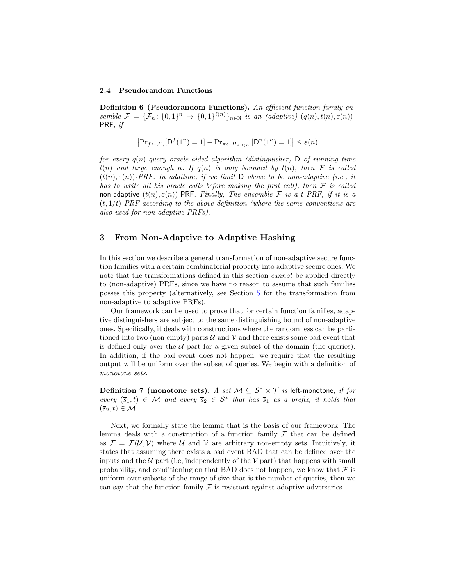#### **2.4 Pseudorandom Functions**

**Definition 6 (Pseudorandom Functions).** *An efficient function family en*semble  $\mathcal{F} = {\mathcal{F}_n: \{0,1\}^n \mapsto \{0,1\}^{\ell(n)}\}_{n \in \mathbb{N}}$  is an (adaptive)  $(q(n), t(n), \varepsilon(n))$ -PRF*, if*

$$
\left|\Pr_{f\leftarrow\mathcal{F}_n}[\mathsf{D}^f(1^n) = 1] - \Pr_{\pi\leftarrow\mathcal{H}_{n,\ell(n)}}[\mathsf{D}^{\pi}(1^n) = 1]\right| \leq \varepsilon(n)
$$

*for every q*(*n*)*-query oracle-aided algorithm (distinguisher)* D *of running time*  $t(n)$  *and large enough n.* If  $q(n)$  *is only bounded by*  $t(n)$ *, then F is called*  $(t(n), \varepsilon(n))$ *-PRF.* In addition, if we limit D above to be non-adaptive (i.e., it *has to write all his oracle calls before making the first call), then F is called* non-adaptive  $(t(n), \varepsilon(n))$ -PRF*. Finally, The ensemble F is a t-PRF, if it is a* (*t,* 1*/t*)*-PRF according to the above definition (where the same conventions are also used for non-adaptive PRFs).*

### <span id="page-9-0"></span>**3 From Non-Adaptive to Adaptive Hashing**

In this section we describe a general transformation of non-adaptive secure function families with a certain combinatorial property into adaptive secure ones. We note that the transformations defined in this section *cannot* be applied directly to (non-adaptive) PRFs, since we have no reason to assume that such families posses this property (alternatively, see Section [5](#page-16-1) for the transformation from non-adaptive to adaptive PRFs).

Our framework can be used to prove that for certain function families, adaptive distinguishers are subject to the same distinguishing bound of non-adaptive ones. Specifically, it deals with constructions where the randomness can be partitioned into two (non empty) parts  $U$  and  $V$  and there exists some bad event that is defined only over the  $U$  part for a given subset of the domain (the queries). In addition, if the bad event does not happen, we require that the resulting output will be uniform over the subset of queries. We begin with a definition of *monotone sets*.

**Definition 7** (monotone sets). *A set*  $M \subseteq S^* \times T$  *is* left-monotone, *if for every*  $(\overline{s}_1, t) \in \mathcal{M}$  *and every*  $\overline{s}_2 \in \mathcal{S}^*$  *that has*  $\overline{s}_1$  *as a prefix, it holds that*  $(\overline{s}_2, t) \in \mathcal{M}$ .

<span id="page-9-1"></span>Next, we formally state the lemma that is the basis of our framework. The lemma deals with a construction of a function family  $\mathcal F$  that can be defined as  $\mathcal{F} = \mathcal{F}(\mathcal{U}, \mathcal{V})$  where  $\mathcal{U}$  and  $\mathcal{V}$  are arbitrary non-empty sets. Intuitively, it states that assuming there exists a bad event BAD that can be defined over the inputs and the  $U$  part (i.e., independently of the  $V$  part) that happens with small probability, and conditioning on that BAD does not happen, we know that  $\mathcal F$  is uniform over subsets of the range of size that is the number of queries, then we can say that the function family  $\mathcal F$  is resistant against adaptive adversaries.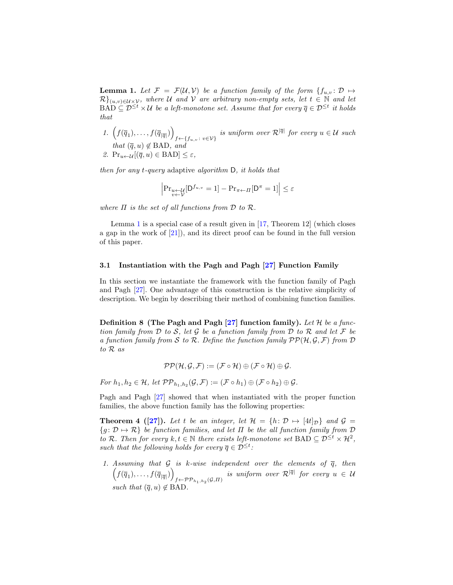**Lemma 1.** Let  $\mathcal{F} = \mathcal{F}(\mathcal{U}, \mathcal{V})$  be a function family of the form  $\{f_{u,v} : \mathcal{D} \mapsto$  $\mathcal{R}$ <sub>*(u,v*) $\in \mathcal{U} \times \mathcal{V}$ *, where U* and *V* are arbitrary non-empty sets, let  $t \in \mathbb{N}$  and let</sub>  $\text{BAD}\subseteq\mathcal{D}^{\leq t}\times\mathcal{U}$  be a left-monotone set. Assume that for every  $\overline{q}\in\mathcal{D}^{\leq t}$  it holds *that*

- 1.  $(f(\overline{q}_1), \ldots, f(\overline{q}_{|\overline{q}|}))$  $f \leftarrow \{f_{u,v}: v \in V\}$  *is uniform over*  $\mathcal{R}^{|\overline{q}|}$  *for every*  $u \in \mathcal{U}$  *such that*  $(\overline{q}, u) \notin$  BAD, *and*
- $2. \Pr_{u \leftarrow \mathcal{U}}[(\overline{q}, u) \in \text{BAD}] \leq \varepsilon$ ,

*then for any t-query* adaptive *algorithm* D*, it holds that*

$$
\left|\mathrm{Pr}_{\substack{u \leftarrow U \\ v \leftarrow V}}[\mathsf{D}^{f_{u,v}} = 1] - \mathrm{Pr}_{\pi \leftarrow \Pi}[\mathsf{D}^{\pi} = 1]\right| \le \varepsilon
$$

*where Π is the set of all functions from D to R.*

Lemma [1](#page-9-1) is a special case of a result given in  $[17,$  $[17,$  $[17,$  Theorem 12 (which closes a gap in the work of [[21\]](#page-19-19)), and its direct proof can be found in the full version of this paper.

#### **3.1 Instantiation with the Pagh and Pagh [\[27\]](#page-19-5) Function Family**

In this section we instantiate the framework with the function family of Pagh and Pagh [\[27](#page-19-5)]. One advantage of this construction is the relative simplicity of description. We begin by describing their method of combining function families.

<span id="page-10-2"></span>**Definition 8** (The Pagh and Pagh  $[27]$  function family). Let H be a func*tion family from D to S, let G be a function family from D to R and let F be a function family from S to*  $\mathcal{R}$ *. Define the function family*  $\mathcal{PP}(\mathcal{H}, \mathcal{G}, \mathcal{F})$  *from*  $\mathcal{D}$ *to R as*

<span id="page-10-0"></span>
$$
\mathcal{PP}(\mathcal{H}, \mathcal{G}, \mathcal{F}) := (\mathcal{F} \circ \mathcal{H}) \oplus (\mathcal{F} \circ \mathcal{H}) \oplus \mathcal{G}.
$$

*For*  $h_1, h_2 \in \mathcal{H}$ *, let*  $\mathcal{PP}_{h_1, h_2}(\mathcal{G}, \mathcal{F}) := (\mathcal{F} \circ h_1) \oplus (\mathcal{F} \circ h_2) \oplus \mathcal{G}$ *.* 

Pagh and Pagh [[27\]](#page-19-5) showed that when instantiated with the proper function families, the above function family has the following properties:

**Theorem 4** ([[27](#page-19-5)]). Let t be an integer, let  $\mathcal{H} = \{h: \mathcal{D} \mapsto [4t]_{\mathcal{D}}\}$  and  $\mathcal{G} =$  ${q: D \mapsto \mathcal{R}}$  *be function families, and let Π be the all function family from D to*  $\mathcal{R}$ *. Then for every*  $k, t \in \mathbb{N}$  *there exists left-monotone set*  $BAD \subseteq \mathcal{D}^{\leq t} \times \mathcal{H}^2$ , *such that the following holds for every*  $\overline{q} \in \mathcal{D}^{\leq t}$ :

<span id="page-10-1"></span>*1. Assuming that G is k-wise independent over the elements of q, then*  $\left(f(\overline{q}_1),\ldots,f(\overline{q}_{|\overline{q}|})\right)$  $f \leftarrow \mathcal{PP}_{h_1, h_2}(\mathcal{G}, \Pi)$  *is uniform over*  $\mathcal{R}^{|\overline{q}|}$  *for every*  $u \in \mathcal{U}$ *such that*  $(\overline{q}, u) \notin BAD$ .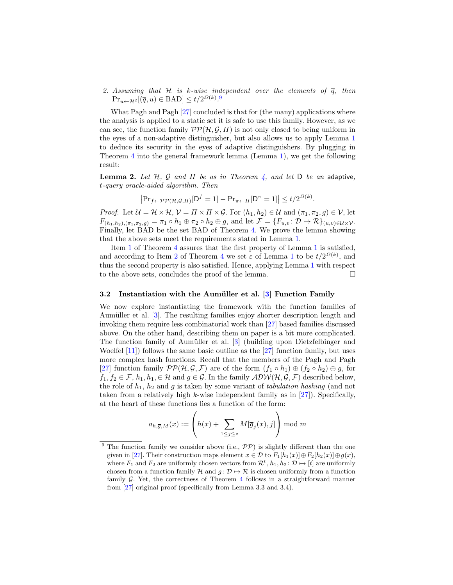<span id="page-11-1"></span>*2. Assuming that H is k-wise independent over the elements of q, then*  $\Pr_{u \leftarrow \mathcal{H}^2} [(\overline{q}, u) \in \text{BAD}] \leq t/2^{\Omega(k)}$ .<sup>[9](#page-11-0)</sup>

What Pagh and Pagh [\[27](#page-19-5)] concluded is that for (the many) applications where the analysis is applied to a static set it is safe to use this family. However, as we can see, the function family  $\mathcal{PP}(\mathcal{H}, \mathcal{G}, \Pi)$  is not only closed to being uniform in the eyes of a non-adaptive distinguisher, but also allows us to apply Lemma [1](#page-9-1) to deduce its security in the eyes of adaptive distinguishers. By plugging in Theorem [4](#page-10-0) into the general framework lemma (Lemma [1](#page-9-1)), we get the following result:

<span id="page-11-2"></span>**Lemma 2.** Let  $H$ ,  $G$  and  $\Pi$  be as in Theorem [4](#page-10-0), and let  $D$  be an adaptive, *t-query oracle-aided algorithm. Then*

$$
|\Pr_{f \leftarrow \mathcal{PP}(\mathcal{H}, \mathcal{G}, \Pi)}[\mathsf{D}^f = 1] - \Pr_{\pi \leftarrow \Pi}[\mathsf{D}^{\pi} = 1]| \leq t/2^{\Omega(k)}.
$$

*Proof.* Let  $\mathcal{U} = \mathcal{H} \times \mathcal{H}$ ,  $\mathcal{V} = \Pi \times \Pi \times \mathcal{G}$ . For  $(h_1, h_2) \in \mathcal{U}$  and  $(\pi_1, \pi_2, g) \in \mathcal{V}$ , let  $F_{(h_1,h_2),(\pi_1,\pi_2,g)} = \pi_1 \circ h_1 \oplus \pi_2 \circ h_2 \oplus g$ , and let  $\mathcal{F} = \{F_{u,v}: \mathcal{D} \mapsto \mathcal{R}\}_{(u,v)\in \mathcal{U}\times\mathcal{V}}$ . Finally, let BAD be the set BAD of Theorem [4](#page-10-0). We prove the lemma showing that the above sets meet the requirements stated in Lemma [1](#page-9-1).

Item [1](#page-10-1) of Theorem [4](#page-10-0) assures that the first property of Lemma [1](#page-9-1) is satisfied, and according to Item [2](#page-11-1) of Theorem [4](#page-10-0) we set  $\varepsilon$  of Lemma [1](#page-9-1) to be  $t/2^{\Omega(k)}$ , and thus the second property is also satisfied. Hence, applying Lemma [1](#page-9-1) with respect to the above sets, concludes the proof of the lemma.

#### **3.2** Instantiation with the Aumüller et al. <sup>[\[3](#page-18-8)]</sup> Function Family

We now explore instantiating the framework with the function families of Aumüller et al. [\[3](#page-18-8)]. The resulting families enjoy shorter description length and invoking them require less combinatorial work than [[27\]](#page-19-5) based families discussed above. On the other hand, describing them on paper is a bit more complicated. The function family of Aumüller et al.  $\lceil 3 \rceil$  (building upon Dietzfelbinger and Woelfel [[11\]](#page-18-9)) follows the same basic outline as the [\[27](#page-19-5)] function family, but uses more complex hash functions. Recall that the members of the Pagh and Pagh [[27](#page-19-5)] function family  $\mathcal{PP}(\mathcal{H}, \mathcal{G}, \mathcal{F})$  are of the form  $(f_1 \circ h_1) \oplus (f_2 \circ h_2) \oplus g$ , for  $f_1, f_2 \in \mathcal{F}, h_1, h_1 \in \mathcal{H}$  and  $g \in \mathcal{G}$ . In the family  $\mathcal{ADW}(\mathcal{H}, \mathcal{G}, \mathcal{F})$  described below, the role of *h*1, *h*<sup>2</sup> and *g* is taken by some variant of *tabulation hashing* (and not taken from a relatively high *k*-wise independent family as in [[27\]](#page-19-5)). Specifically, at the heart of these functions lies a function of the form:

$$
a_{h,\overline{g},M}(x) := \left( h(x) + \sum_{1 \le j \le z} M[\overline{g}_j(x),j] \right) \mod m
$$

<span id="page-11-0"></span><sup>&</sup>lt;sup>9</sup> The function family we consider above (i.e.,  $\mathcal{PP}$ ) is slightly different than the one given in [[27](#page-19-5)]. Their construction maps element  $x \in \mathcal{D}$  to  $F_1[h_1(x)] \oplus F_2[h_2(x)] \oplus g(x)$ , where  $F_1$  and  $F_2$  are uniformly chosen vectors from  $\mathcal{R}^t$ ,  $h_1, h_2 \colon \mathcal{D} \mapsto [t]$  are uniformly chosen from a function family  $H$  and  $g: \mathcal{D} \mapsto \mathcal{R}$  is chosen uniformly from a function family  $G$ . Yet, the correctness of Theorem  $4$  follows in a straightforward manner from [\[27](#page-19-5)] original proof (specifically from Lemma 3.3 and 3.4).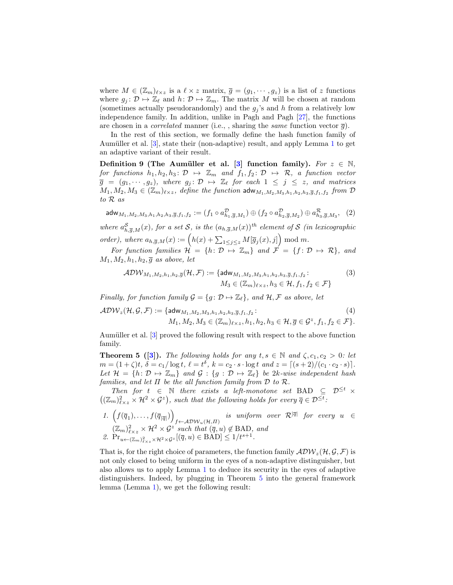where  $M \in (\mathbb{Z}_m)_{\ell \times z}$  is a  $\ell \times z$  matrix,  $\overline{g} = (g_1, \dots, g_z)$  is a list of *z* functions where  $g_j: \mathcal{D} \mapsto \mathbb{Z}_{\ell}$  and  $h: \mathcal{D} \mapsto \mathbb{Z}_m$ . The matrix M will be chosen at random (sometimes actually pseudorandomly) and the *g<sup>j</sup>* 's and *h* from a relatively low independence family. In addition, unlike in Pagh and Pagh [[27\]](#page-19-5), the functions are chosen in a *correlated* manner (i.e., , sharing the *same* function vector  $\overline{g}$ ).

<span id="page-12-2"></span>In the rest of this section, we formally define the hash function family of Aumüller et al. [\[3](#page-18-8)], state their (non-adaptive) result, and apply Lemma [1](#page-9-1) to get an adaptive variant of their result.

**Definition 9** (The Aumüller et al. [\[3](#page-18-8)] function family). *For*  $z \in \mathbb{N}$ , *for functions*  $h_1, h_2, h_3 \colon \mathcal{D} \mapsto \mathbb{Z}_m$  and  $f_1, f_2 \colon \mathcal{D} \mapsto \mathcal{R}$ , a function vector  $\overline{g} = (g_1, \dots, g_z)$ , where  $g_j: \mathcal{D} \mapsto \mathbb{Z}_{\ell}$  for each  $1 \leq j \leq z$ , and matrices  $M_1, M_2, M_3 \in (\mathbb{Z}_m)_{\ell \times z}$ , define the function  $\text{adw}_{M_1, M_2, M_3, h_1, h_2, h_3, \overline{g}, f_1, f_2}$  from  $\mathcal D$ *to R as*

$$
\mathsf{adw}_{M_1,M_2,M_3,h_1,h_2,h_3,\overline{g},f_1,f_2} := (f_1 \circ a_{h_1,\overline{g},M_1}^{\mathcal{D}}) \oplus (f_2 \circ a_{h_2,\overline{g},M_2}^{\mathcal{D}}) \oplus a_{h_3,\overline{g},M_3}^{\mathcal{R}}, \tag{2}
$$

*where*  $a_{h,\overline{g},M}^{S}(x)$ *, for a set S, is the*  $(a_{h,\overline{g},M}(x))$ <sup>th</sup> element of *S (in lexicographic order*), where  $a_{h,\overline{g},M}(x) := (h(x) + \sum_{1 \leq j \leq z} M[\overline{g}_j(x),j])$  mod *m*.

*For function families*  $\mathcal{H} = \{h: \mathcal{D} \mapsto \mathbb{Z}_m\}$  and  $\mathcal{F} = \{f: \mathcal{D} \mapsto \mathcal{R}\}$ , and  $M_1, M_2, h_1, h_2, \overline{q}$  *as above, let* 

$$
\mathcal{ADW}_{M_1,M_2,h_1,h_2,\overline{g}}(\mathcal{H},\mathcal{F}) := \{ \text{adw}_{M_1,M_2,M_3,h_1,h_2,h_3,\overline{g},f_1,f_2} : M_3 \in (\mathbb{Z}_m)_{\ell \times z}, h_3 \in \mathcal{H}, f_1, f_2 \in \mathcal{F} \}
$$
(3)

*Finally, for function family*  $\mathcal{G} = \{g : \mathcal{D} \mapsto \mathbb{Z}_{\ell}\}\$ , and  $\mathcal{H}, \mathcal{F}$  as above, let

$$
\mathcal{ADW}_{z}(\mathcal{H}, \mathcal{G}, \mathcal{F}) := \{ \mathsf{adw}_{M_1, M_2, M_3, h_1, h_2, h_3, \overline{g}, f_1, f_2} : (4) \nM_1, M_2, M_3 \in (\mathbb{Z}_m)_{\ell \times z}, h_1, h_2, h_3 \in \mathcal{H}, \overline{g} \in \mathcal{G}^z, f_1, f_2 \in \mathcal{F} \}.
$$

<span id="page-12-0"></span>Aumüller et al.  $\boxed{3}$  proved the following result with respect to the above function family.

**Theorem 5** ([[3](#page-18-8)]). The following holds for any  $t, s \in \mathbb{N}$  and  $\zeta, c_1, c_2 > 0$ : let  $m = (1 + \zeta)t$ ,  $\delta = c_1/\log t$ ,  $\ell = t^{\delta}$ ,  $k = c_2 \cdot s \cdot \log t$  and  $z = \lceil (s+2)/(c_1 \cdot c_2 \cdot s) \rceil$ . *Let*  $\mathcal{H} = \{h: \mathcal{D} \mapsto \mathbb{Z}_m\}$  and  $\mathcal{G} : \{g: \mathcal{D} \mapsto \mathbb{Z}_\ell\}$  be 2*k*-wise independent hash *families, and let Π be the all function family from D to R.*

*Then for*  $t \in \mathbb{N}$  *there exists a left-monotone set* BAD  $\subseteq \mathcal{D}^{\leq t}$  *×*  $((\mathbb{Z}_m)_{\ell \times z}^2 \times \mathcal{H}^2 \times \mathcal{G}^z)$ , such that the following holds for every  $\overline{q} \in \mathcal{D}^{\leq t}$ :

1.  $(f(\overline{q}_1), \ldots, f(\overline{q}_{|\overline{q}|})\big)$  $f \leftarrow ADW_u(\mathcal{H}, \Pi)$  *is uniform over*  $\mathcal{R}^{|\overline{q}|}$  *for every*  $u \in$  $(\mathbb{Z}_m)_{\ell \times z}^2 \times \mathcal{H}^2 \times \mathcal{G}^z$  such that  $(\overline{q}, u) \notin \text{BAD},$  and 2.  $Pr_{u \leftarrow (\mathbb{Z}_m)_{\ell \times z}^2} \times \mathcal{H}^2 \times \mathcal{G}^z} [(\overline{q}, u) \in \widehat{BAD}] \leq 1/t^{s+1}.$ 

<span id="page-12-1"></span>That is, for the right choice of parameters, the function family  $\mathcal{ADV}_z(\mathcal{H}, \mathcal{G}, \mathcal{F})$  is not only closed to being uniform in the eyes of a non-adaptive distinguisher, but also allows us to apply Lemma [1](#page-9-1) to deduce its security in the eyes of adaptive distinguishers. Indeed, by plugging in Theorem [5](#page-12-0) into the general framework lemma (Lemma [1](#page-9-1)), we get the following result: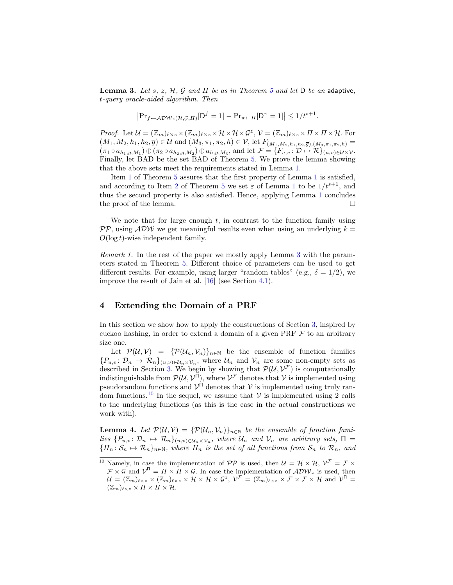**Lemma 3.** *Let s, z, H, G and Π be as in Theorem [5](#page-12-0) and let* D *be an* adaptive*, t-query oracle-aided algorithm. Then*

$$
\left|\Pr_{f \leftarrow \mathcal{ADV}_z(\mathcal{H}, \mathcal{G}, \Pi)}[\mathsf{D}^f = 1] - \Pr_{\pi \leftarrow \Pi}[\mathsf{D}^{\pi} = 1]\right| \le 1/t^{s+1}.
$$

*Proof.* Let  $\mathcal{U} = (\mathbb{Z}_m)_{\ell \times z} \times (\mathbb{Z}_m)_{\ell \times z} \times \mathcal{H} \times \mathcal{H} \times \mathcal{G}^z$ ,  $\mathcal{V} = (\mathbb{Z}_m)_{\ell \times z} \times \Pi \times \Pi \times \mathcal{H}$ . For  $(M_1, M_2, h_1, h_2, \overline{g}) \in \mathcal{U}$  and  $(M_3, \pi_1, \pi_2, h) \in \mathcal{V}$ , let  $F_{(M_1, M_2, h_1, h_2, \overline{g}), (M_3, \pi_1, \pi_2, h)}$  $(\pi_1 \circ a_{h_1,\overline{g},M_1}) \oplus (\pi_2 \circ a_{h_2,\overline{g},M_2}) \oplus a_{h,\overline{g},M_3}$ , and let  $\mathcal{F} = \{F_{u,v} : \mathcal{D} \mapsto \mathcal{R}\}_{(u,v) \in \mathcal{U} \times \mathcal{V}}$ . Finally, let BAD be the set BAD of Theorem [5](#page-12-0). We prove the lemma showing that the above sets meet the requirements stated in Lemma [1](#page-9-1).

Item [1](#page-10-1) of Theorem [5](#page-12-0) assures that the first property of Lemma [1](#page-9-1) is satisfied, and according to Item [2](#page-11-1) of Theorem [5](#page-12-0) we set  $\varepsilon$  of Lemma [1](#page-9-1) to be  $1/t^{s+1}$ , and thus the second property is also satisfied. Hence, applying Lemma [1](#page-9-1) concludes the proof of the lemma.  $\Box$ 

We note that for large enough *t*, in contrast to the function family using  $PP$ , using  $ADW$  we get meaningful results even when using an underlying  $k =$ *O*(log *t*)-wise independent family.

*Remark 1.* In the rest of the paper we mostly apply Lemma [3](#page-12-1) with the parameters stated in Theorem [5](#page-12-0). Different choice of parameters can be used to get different results. For example, using larger "random tables" (e.g.,  $\delta = 1/2$ ), we improve the result of Jain et al. [[16\]](#page-19-10) (see Section [4.1\)](#page-14-1).

### <span id="page-13-0"></span>**4 Extending the Domain of a PRF**

In this section we show how to apply the constructions of Section [3,](#page-9-0) inspired by cuckoo hashing, in order to extend a domain of a given PRF  $\mathcal F$  to an arbitrary size one.

Let  $\mathcal{P}(\mathcal{U}, \mathcal{V}) = {\mathcal{P}(\mathcal{U}_n, \mathcal{V}_n)}_{n \in \mathbb{N}}$  be the ensemble of function families  ${P_{u,v}: \mathcal{D}_n \mapsto \mathcal{R}_n}_{(u,v) \in \mathcal{U}_n \times \mathcal{V}_n}$ , where  $\mathcal{U}_n$  and  $\mathcal{V}_n$  are some non-empty sets as described in Section [3.](#page-9-0) We begin by showing that  $\mathcal{P}(\mathcal{U}, \mathcal{V}^{\mathcal{F}})$  is computationally indistinguishable from  $\mathcal{P}(\mathcal{U}, \mathcal{V}^{\Pi})$ , where  $\mathcal{V}^{\mathcal{F}}$  denotes that  $\mathcal{V}$  is implemented using pseudorandom functions and  $V^{\Pi}$  denotes that V is implemented using truly ran-dom functions.<sup>[10](#page-13-1)</sup> In the sequel, we assume that  $V$  is implemented using 2 calls to the underlying functions (as this is the case in the actual constructions we work with).

**Lemma 4.** Let  $\mathcal{P}(\mathcal{U}, \mathcal{V}) = {\mathcal{P}(\mathcal{U}_n, \mathcal{V}_n)}_{n \in \mathbb{N}}$  be the ensemble of function fami*lies*  ${P_{u,v}: \mathcal{D}_n \mapsto \mathcal{R}_n}$ ,  ${q_{u,v}\in\mathcal{U}_n \times \mathcal{V}_n}$ , where  $\mathcal{U}_n$  and  $\mathcal{V}_n$  are arbitrary sets,  $\Pi =$  ${H_n: S_n \mapsto \mathcal{R}_n}_{n \in \mathbb{N}},$  where  $\prod_n$  *is the set of all functions from*  $S_n$  *to*  $\mathcal{R}_n$ *, and* 

<span id="page-13-1"></span><sup>&</sup>lt;sup>10</sup> Namely, in case the implementation of  $\mathcal{PP}$  is used, then  $\mathcal{U} = \mathcal{H} \times \mathcal{H}$ ,  $\mathcal{V}^{\mathcal{F}} = \mathcal{F} \times \mathcal{V}$  $\mathcal{F} \times \mathcal{G}$  and  $\mathcal{V}^{\Pi} = \Pi \times \Pi \times \mathcal{G}$ . In case the implementation of  $\mathcal{ADW}_z$  is used, then  $\mathcal{U} = (\mathbb{Z}_m)_{\ell \times z} \times (\mathbb{Z}_m)_{\ell \times z} \times \mathcal{H} \times \mathcal{H} \times \mathcal{G}^z$ ,  $\mathcal{V}^{\mathcal{F}} = (\mathbb{Z}_m)_{\ell \times z} \times \mathcal{F} \times \mathcal{F} \times \mathcal{H}$  and  $\mathcal{V}^{\Pi} =$  $(\mathbb{Z}_m)_{\ell \times z} \times \Pi \times \Pi \times \mathcal{H}.$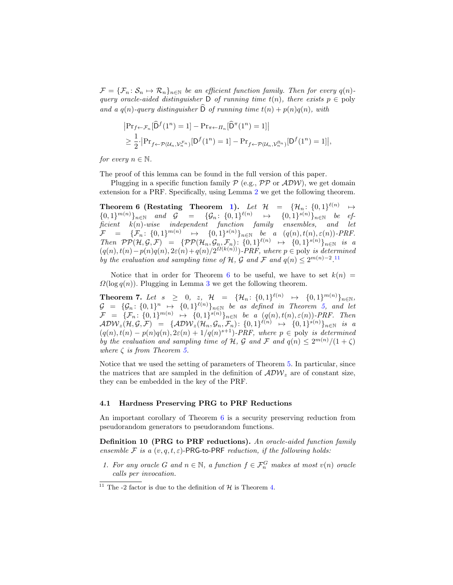$\mathcal{F} = {\mathcal{F}_n : \mathcal{S}_n \mapsto \mathcal{R}_n}_{n \in \mathbb{N}}$  *be an efficient function family. Then for every*  $q(n)$ *query oracle-aided distinguisher* D *of running time*  $t(n)$ *, there exists*  $p \in \text{poly}$ *and a*  $q(n)$ -query distinguisher  $\widehat{D}$  of running time  $t(n) + p(n)q(n)$ , with

$$
|\Pr_{f \leftarrow \mathcal{F}_n}[\widehat{D}^f(1^n) = 1] - \Pr_{\pi \leftarrow \Pi_n}[\widehat{D}^{\pi}(1^n) = 1]|
$$
  
\n
$$
\geq \frac{1}{2} \cdot |\Pr_{f \leftarrow \mathcal{P}(\mathcal{U}_n, \mathcal{V}_n^{\mathcal{F}_n})}[\mathcal{D}^f(1^n) = 1] - \Pr_{f \leftarrow \mathcal{P}(\mathcal{U}_n, \mathcal{V}_n^{\Pi_n})}[\mathcal{D}^f(1^n) = 1]|,
$$

*for every*  $n \in \mathbb{N}$ .

The proof of this lemma can be found in the full version of this paper.

Plugging in a specific function family *P* (e.g., *PP* or *ADW*), we get domain extension for a PRF. Specifically, using Lemma [2](#page-11-2) we get the following theorem.

<span id="page-14-3"></span> $\textbf{Theorem 6 (Restating Theorem 1).} \quad Let \ \ \mathcal{H} \ \ = \ \ \left\{ \mathcal{H}_n \colon \{0,1\}^{\ell(n)} \ \ \mapsto \ \right\}$  $\textbf{Theorem 6 (Restating Theorem 1).} \quad Let \ \ \mathcal{H} \ \ = \ \ \left\{ \mathcal{H}_n \colon \{0,1\}^{\ell(n)} \ \ \mapsto \ \right\}$  $\textbf{Theorem 6 (Restating Theorem 1).} \quad Let \ \ \mathcal{H} \ \ = \ \ \left\{ \mathcal{H}_n \colon \{0,1\}^{\ell(n)} \ \ \mapsto \ \right\}$  $\{0,1\}^{m(n)}\}_{n\in\mathbb{N}}$  and  $\mathcal{G} = {\mathcal{G}_n: \{0,1\}^{\ell(n)}} \mapsto {\{0,1\}^{s(n)}}_{n\in\mathbb{N}}$  be ef*ficient k*(*n*)*-wise independent function family ensembles, and let*  $\mathcal{F} \quad = \quad \{\mathcal{F}_n \colon \: \{0,1\}^{m(n)} \quad \mapsto \quad \{0,1\}^{s(n)}\}_{n \in \mathbb{N}} \quad be \quad a \quad (q(n),t(n),\varepsilon(n))\text{-}PRF.$ Then  $\mathcal{PP}(\mathcal{H}, \mathcal{G}, \mathcal{F}) = {\mathcal{PP}(\mathcal{H}_n, \mathcal{G}_n, \mathcal{F}_n): {\{0,1\}}^{\ell(n)} \mapsto {\{0,1\}}^{s(n)}\}_{n \in \mathbb{N}}$  is a  $(q(n), t(n) - p(n)q(n), 2\varepsilon(n) + q(n)/2^{\Omega(k(n))})$ -PRF, where  $p \in \text{poly } i s$  determined *by the evaluation and sampling time of H*, *G and*  $\mathcal{F}$  *and*  $q(n) \leq 2^{m(n)-2}$ .<sup>[11](#page-14-2)</sup>

<span id="page-14-0"></span>Notice that in order for Theorem [6](#page-14-3) to be useful, we have to set  $k(n)$  =  $Q(\log q(n))$ . Plugging in Lemma [3](#page-12-1) we get the following theorem.

Theorem 7. Let  $s \geq 0, z, \mathcal{H} = {\mathcal{H}_n \colon \{0,1\}^{\ell(n)}} \mapsto {\{0,1\}^{m(n)}}_{n \in \mathbb{N}},$  $\mathcal{G} = \{\mathcal{G}_n : \{0,1\}^n \mapsto \{0,1\}^{\ell(n)}\}_{n\in\mathbb{N}}$  be as defined in Theorem [5](#page-12-0), and let  $\mathcal{F} = {\mathcal{F}_n : \{0,1\}^{m(n)} \mapsto \{0,1\}^{s(n)}\}_{n \in \mathbb{N}}$  be a  $(q(n), t(n), \varepsilon(n))$ -PRF. Then  $\mathcal{ADW}_z(\mathcal{H}, \mathcal{G}, \mathcal{F}) = \{ \mathcal{ADW}_z(\mathcal{H}_n, \mathcal{G}_n, \mathcal{F}_n) \colon \{0,1\}^{\ell(n)} \mapsto \{0,1\}^{s(n)} \}_{n \in \mathbb{N}} \ \ \text{is a}$  $(q(n), t(n) - p(n)q(n), 2\varepsilon(n) + 1/q(n)^{s+1})$ *-PRF, where*  $p \in \text{poly } i s$  determined *by the evaluation and sampling time of*  $H$ *,*  $G$  *and*  $F$  *and*  $q(n) \leq 2^{m(n)}/(1+\zeta)$ *where*  $\zeta$  *is from Theorem [5](#page-12-0).* 

Notice that we used the setting of parameters of Theorem [5](#page-12-0). In particular, since the matrices that are sampled in the definition of  $\mathcal{ADW}_z$  are of constant size, they can be embedded in the key of the PRF.

#### <span id="page-14-1"></span>**4.1 Hardness Preserving PRG to PRF Reductions**

An important corollary of Theorem [6](#page-14-3) is a security preserving reduction from pseudorandom generators to pseudorandom functions.

**Definition 10 (PRG to PRF reductions).** *An oracle-aided function family ensemble*  $F$  *is a*  $(v, q, t, \varepsilon)$ -PRG-to-PRF *reduction, if the following holds:* 

*1.* For any oracle G and  $n \in \mathbb{N}$ , a function  $f \in \mathcal{F}_n^G$  makes at most  $v(n)$  oracle *calls per invocation.*

<span id="page-14-2"></span><sup>&</sup>lt;sup>11</sup> The -2 factor is due to the definition of  $H$  is Theorem [4.](#page-10-0)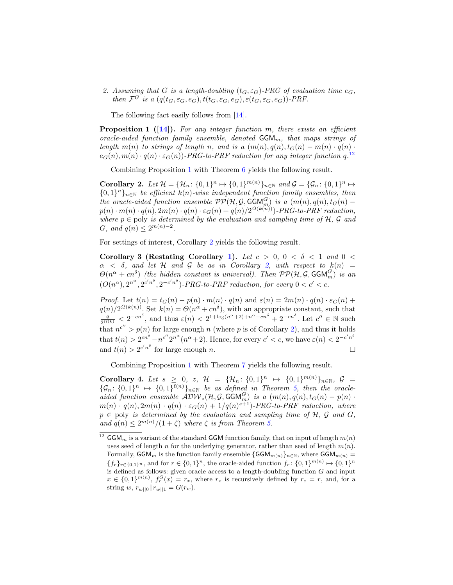2. Assuming that *G* is a length-doubling  $(t_G, \varepsilon_G)$ -PRG of evaluation time  $e_G$ , then  $\mathcal{F}^G$  is a  $(q(t_G, \varepsilon_G, e_G), t(t_G, \varepsilon_G, e_G), \varepsilon(t_G, \varepsilon_G, e_G))$ -PRF.

<span id="page-15-1"></span>The following fact easily follows from [\[14](#page-18-1)].

**Proposition 1 ([\[14\]](#page-18-1)).** *For any integer function m, there exists an efficient oracle-aided function family ensemble, denoted* GGM*m, that maps strings of length*  $m(n)$  *to strings of length n, and is a*  $(m(n), q(n), t_G(n) - m(n) \cdot q(n)$  $e_G(n), m(n) \cdot q(n) \cdot \varepsilon_G(n)$ )-PRG-to-PRF reduction for any integer function  $q$ <sup>[12](#page-15-2)</sup>

<span id="page-15-3"></span>Combining Proposition [1](#page-15-1) with Theorem [6](#page-14-3) yields the following result.

**Corollary 2.** Let  $\mathcal{H} = {\mathcal{H}_n : \{0,1\}^n \mapsto \{0,1\}^{m(n)}\}_{n \in \mathbb{N}}}$  and  $\mathcal{G} = {\mathcal{G}_n : \{0,1\}^n \mapsto \{0,1\}^n}$  $\{0,1\}$ <sup>n</sup> $\}$ <sub>n $\in \mathbb{N}$  *be efficient k*(*n*)*-wise independent function family ensembles, then*</sub> *the oracle-aided function ensemble*  $PP(H, G, GGM_m^G)$  *is a*  $(m(n), q(n), t_G(n)$  $p(n)\cdot m(n)\cdot q(n), 2m(n)\cdot q(n)\cdot \varepsilon_G(n) + q(n)/2^{\Omega(k(n))})$ -PRG-to-PRF reduction, *where*  $p \in \text{poly}$  *is determined by the evaluation and sampling time of*  $H$ *,*  $G$  *and*  $G$ *, and*  $q(n) \leq 2^{m(n)-2}$ .

<span id="page-15-4"></span>For settings of interest, Corollary [2](#page-15-3) yields the following result.

**Corollary 3 (Restating Corollary [1\)](#page-5-1)**. Let  $c > 0$ ,  $0 < \delta < 1$  and  $0 <$  $\alpha$  <  $\delta$ *, and let*  $\mathcal{H}$  *and*  $\mathcal{G}$  *be as in Corollary* 2*, with respect to*  $k(n)$  =  $\Theta(n^{\alpha} + cn^{\delta})$  (the hidden constant is universal). Then  $\mathcal{PP}(H, \mathcal{G}, \mathsf{GGM}_{m}^{G})$  is an  $(O(n^{\alpha}), 2^{n^{\alpha}}, 2^{c'n^{\delta}}, 2^{-c'n^{\delta}})$ -PRG-to-PRF reduction, for every  $0 < c' < c$ .

*Proof.* Let  $t(n) = t_G(n) - p(n) \cdot m(n) \cdot q(n)$  and  $\varepsilon(n) = 2m(n) \cdot q(n) \cdot \varepsilon_G(n)$  +  $q(n)/2^{\Omega(k(n))}$ . Set  $k(n) = \Theta(n^{\alpha} + cn^{\delta})$ , with an appropriate constant, such that  $\frac{q}{2^{\Omega(k)}} < 2^{-cn^{\delta}}$ , and thus  $\varepsilon(n) < 2^{1+\log(n^{\alpha}+2)+n^{\alpha}-cn^{\delta}} + 2^{-cn^{\delta}}$ . Let  $c'' \in \mathbb{N}$  such that  $n^{c''} > p(n)$  for large enough *n* (where *p* is of Corollary [2\)](#page-15-3), and thus it holds that  $t(n) > 2^{cn^{\delta}} - n^{c''} 2^{n^{\alpha}} (n^{\alpha} + 2)$ . Hence, for every  $c' < c$ , we have  $\varepsilon(n) < 2^{-c'n^{\delta}}$ and  $t(n) > 2^{c'n^{\delta}}$  for large enough *n*.

<span id="page-15-0"></span>Combining Proposition [1](#page-15-1) with Theorem [7](#page-14-0) yields the following result.

**Corollary 4.** Let  $s \geq 0$ ,  $z$ ,  $\mathcal{H} = {\mathcal{H}_n : \{0,1\}^n \mapsto {\{0,1\}^{m(n)}}\}_{n \in \mathbb{N}}, \mathcal{G} =$  ${\mathcal{G}_n: \{0,1\}^n \mapsto \{0,1\}^{\ell(n)}\}_{n\in\mathbb{N}}}$  be as defined in Theorem [5](#page-12-0), then the oracle*aided function ensemble*  $\widehat{ADW}_z(\mathcal{H}, \mathcal{G}, \mathsf{GGM}_m^G)$  *is a*  $(m(n), q(n), t_G(n) - p(n)$  *·*  $m(n) \cdot q(n), 2m(n) \cdot q(n) \cdot \varepsilon_G(n) + 1/q(n)^{s+1})$ -PRG-to-PRF reduction, where  $p \in$  poly *is determined by the evaluation and sampling time of*  $H$ *,*  $G$  *and*  $G$ *, and*  $q(n) \leq 2^{m(n)}/(1+\zeta)$  *where*  $\zeta$  *is from Theorem [5.](#page-12-0)* 

<span id="page-15-2"></span><sup>&</sup>lt;sup>12</sup> GGM<sub>*m*</sub> is a variant of the standard GGM function family, that on input of length  $m(n)$ uses seed of length *n* for the underlying generator, rather than seed of length  $m(n)$ . Formally,  $\text{GGM}_m$  is the function family ensemble  $\{\text{GGM}_{m(n)}\}_{n\in\mathbb{N}}$ , where  $\text{GGM}_{m(n)} =$  $\{f_r\}_{r \in \{0,1\}^n}$ , and for  $r \in \{0,1\}^n$ , the oracle-aided function  $f_r: \{0,1\}^{m(n)} \mapsto \{0,1\}^n$ is defined as follows: given oracle access to a length-doubling function *G* and input  $x \in \{0,1\}^{m(n)}$ ,  $f_r^G(x) = r_x$ , where  $r_x$  is recursively defined by  $r_\varepsilon = r$ , and, for a string *w*,  $r_{w||0}||r_{w||1} = G(r_w)$ .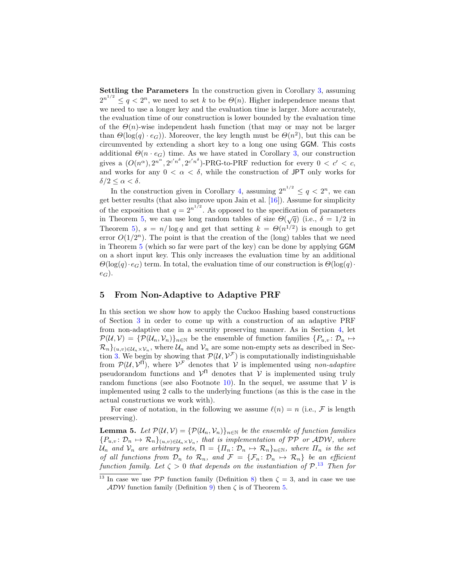<span id="page-16-0"></span>**Settling the Parameters** In the construction given in Corollary [3](#page-15-4), assuming  $2^{n^{1/2}} \leq q < 2^n$ , we need to set *k* to be  $\Theta(n)$ . Higher independence means that we need to use a longer key and the evaluation time is larger. More accurately, the evaluation time of our construction is lower bounded by the evaluation time of the *Θ*(*n*)-wise independent hash function (that may or may not be larger than  $\Theta(\log(q) \cdot e_G)$ ). Moreover, the key length must be  $\Theta(n^2)$ , but this can be circumvented by extending a short key to a long one using GGM. This costs additional  $\Theta(n \cdot e_G)$  time. As we have stated in Corollary [3](#page-15-4), our construction gives a  $(O(n^{\alpha}), 2^{n^{\alpha}}, 2^{c'n^{\delta}}, 2^{c'n^{\delta}})$ -PRG-to-PRF reduction for every  $0 < c' < c$ , and works for any  $0 < \alpha < \delta$ , while the construction of JPT only works for *δ/*2 *≤ α < δ*.

In the construction given in Corollary [4](#page-15-0), assuming  $2^{n^{1/2}} \leq q < 2^n$ , we can get better results (that also improve upon Jain et al. [\[16](#page-19-10)]). Assume for simplicity of the exposition that  $q = 2^{n^{1/2}}$ . As opposed to the specification of parameters in Theorem [5](#page-12-0), we can use long random tables of size  $\Theta(\sqrt{q})$  (i.e.,  $\delta = 1/2$  in Theorem [5\)](#page-12-0),  $s = n/\log q$  and get that setting  $k = \Theta(n^{1/2})$  is enough to get error  $O(1/2^n)$ . The point is that the creation of the (long) tables that we need in Theorem [5](#page-12-0) (which so far were part of the key) can be done by applying GGM on a short input key. This only increases the evaluation time by an additional  $\Theta(\log(q) \cdot e_G)$  term. In total, the evaluation time of our construction is  $\Theta(\log(q) \cdot e_G)$ *eG*).

### <span id="page-16-1"></span>**5 From Non-Adaptive to Adaptive PRF**

In this section we show how to apply the Cuckoo Hashing based constructions of Section [3](#page-9-0) in order to come up with a construction of an adaptive PRF from non-adaptive one in a security preserving manner. As in Section [4](#page-13-0), let  $P(\mathcal{U}, \mathcal{V}) = \{P(\mathcal{U}_n, \mathcal{V}_n)\}_{n \in \mathbb{N}}$  be the ensemble of function families  $\{P_{u,v}: \mathcal{D}_n \mapsto$  $\mathcal{R}_n$ <sup>*f*</sup>(*u,v*) $\in \mathcal{U}_n \times \mathcal{V}_n$ , where  $\mathcal{U}_n$  and  $\mathcal{V}_n$  are some non-empty sets as described in Sec-tion [3.](#page-9-0) We begin by showing that  $\mathcal{P}(\mathcal{U}, \mathcal{V}^{\mathcal{F}})$  is computationally indistinguishable from  $\mathcal{P}(\mathcal{U}, \mathcal{V}^{\Pi})$ , where  $\mathcal{V}^{\mathcal{F}}$  denotes that  $\mathcal{V}$  is implemented using *non-adaptive* pseudorandom functions and  $V^{\Pi}$  denotes that *V* is implemented using truly random functions (see also Footnote [10\)](#page-13-1). In the sequel, we assume that  $V$  is implemented using 2 calls to the underlying functions (as this is the case in the actual constructions we work with).

For ease of notation, in the following we assume  $\ell(n) = n$  (i.e.,  $\mathcal F$  is length preserving).

**Lemma 5.** Let  $\mathcal{P}(\mathcal{U}, \mathcal{V}) = {\mathcal{P}(\mathcal{U}_n, \mathcal{V}_n)}_{n \in \mathbb{N}}$  be the ensemble of function families  ${P_{u,v}: \mathcal{D}_n \mapsto \mathcal{R}_n}_{(u,v) \in \mathcal{U}_n \times \mathcal{V}_n}$ , that is implementation of PP or ADW, where  $\mathcal{U}_n$  *and*  $\mathcal{V}_n$  *are arbitrary sets,*  $\Pi = \{ \Pi_n : \mathcal{D}_n \mapsto \mathcal{R}_n \}_{n \in \mathbb{N}}$ *, where*  $\Pi_n$  *is the set of all functions from*  $\mathcal{D}_n$  *to*  $\mathcal{R}_n$ *, and*  $\mathcal{F} = {\mathcal{F}_n : \mathcal{D}_n \mapsto \mathcal{R}_n}$  *be an efficient function family. Let ζ >* 0 *that depends on the instantiation of P.* [13](#page-16-2) *Then for*

<span id="page-16-2"></span><sup>&</sup>lt;sup>13</sup> In case we use  $\mathcal{PP}$  function family (Definition [8\)](#page-10-2) then  $\zeta = 3$ , and in case we use *ADW* function family (Definition [9\)](#page-12-2) then *ζ* is of Theorem [5](#page-12-0).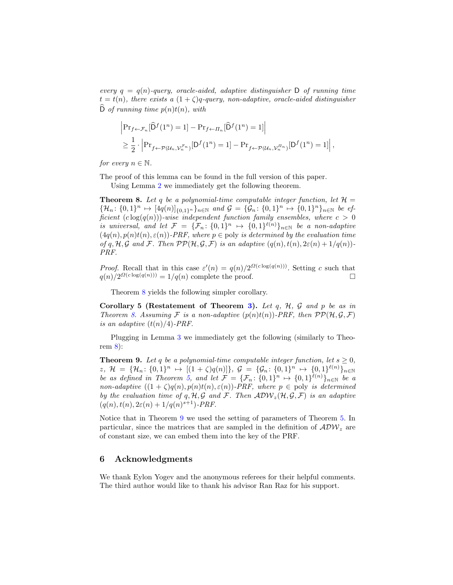*every*  $q = q(n)$ -query, oracle-aided, adaptive distinguisher D of running time  $t = t(n)$ *, there exists a*  $(1 + \zeta)q$ *-query, non-adaptive, oracle-aided distinguisher*  $\widehat{D}$  *of running time*  $p(n)t(n)$ *, with* 

<span id="page-17-1"></span>
$$
\begin{aligned} & \left| \Pr_{f \leftarrow \mathcal{F}_n}[\widehat{\mathsf{D}}^f(1^n) = 1] - \Pr_{f \leftarrow \Pi_n}[\widehat{\mathsf{D}}^f(1^n) = 1] \right| \\ &\geq \frac{1}{2} \cdot \left| \Pr_{f \leftarrow \mathcal{P}(\mathcal{U}_n, \mathcal{V}_n^{\mathcal{F}_n})}[\mathsf{D}^f(1^n) = 1] - \Pr_{f \leftarrow \mathcal{P}(\mathcal{U}_n, \mathcal{V}_n^{\Pi_n})}[\mathsf{D}^f(1^n) = 1] \right|, \end{aligned}
$$

*for every*  $n \in \mathbb{N}$ .

The proof of this lemma can be found in the full version of this paper.

Using Lemma [2](#page-11-2) we immediately get the following theorem.

**Theorem 8.** Let q be a polynomial-time computable integer function, let  $H =$  $\{\mathcal{H}_n: \{0,1\}^n \mapsto [4q(n)]_{\{0,1\}^n}\}_{n \in \mathbb{N}}$  and  $\mathcal{G} = \{\mathcal{G}_n: \{0,1\}^n \mapsto \{0,1\}^n\}_{n \in \mathbb{N}}$  be ef*ficient*  $(c \log(q(n)))$ *-wise independent function family ensembles, where*  $c > 0$ *is universal, and let*  $\mathcal{F} = {\mathcal{F}_n : \{0,1\}^n \mapsto \{0,1\}^{\ell(n)}\}_{n \in \mathbb{N}}$  *be a non-adaptive*  $(4q(n), p(n)t(n), \varepsilon(n))$ *-PRF, where*  $p \in \text{poly } i$  *s* determined by the evaluation time of q, H, G and F. Then  $PP(H, \mathcal{G}, \mathcal{F})$  is an adaptive  $(q(n), t(n), 2\varepsilon(n) + 1/q(n))$ -*PRF.*

*Proof.* Recall that in this case  $\varepsilon'(n) = q(n)/2^{\Omega(c \log(q(n)))}$ . Setting *c* such that  $q(n)/2^{\Omega(c \log(q(n)))} = 1/q(n)$  complete the proof.

Theorem [8](#page-17-1) yields the following simpler corollary.

**Corollary 5 (Restatement of Theorem [3\)](#page-5-2).** *Let q, H, G and p be as in Theorem [8.](#page-17-1) Assuming*  $F$  *is a non-adaptive*  $(p(n)t(n))$ -*PRF, then*  $PP(H, \mathcal{G}, F)$ *is an adaptive*  $(t(n)/4)$ -PRF.

<span id="page-17-0"></span>Plugging in Lemma [3](#page-12-1) we immediately get the following (similarly to Theorem [8\)](#page-17-1):

**Theorem 9.** Let *q* be a polynomial-time computable integer function, let  $s \geq 0$ ,  $z, \mathcal{H} \ = \ \{\mathcal{H}_n \colon \{0,1\}^n \ \mapsto \ [(1+\zeta)q(n)]\}, \ \mathcal{G} \ = \ \{\mathcal{G}_n \colon \{0,1\}^n \ \mapsto \ \{0,1\}^{\ell(n)}\}_{n \in \mathbb{N}}$ *be as defined in Theorem [5,](#page-12-0) and let*  $\mathcal{F} = {\{\mathcal{F}_n : \{0,1\}^n \mapsto \{0,1\}^{\ell(n)}\}}_{n \in \mathbb{N}}$  *be a non-adaptive*  $((1 + \zeta)q(n), p(n)t(n), \varepsilon(n))$ *-PRF, where*  $p \in \text{poly } i$ *s determined by the evaluation time of*  $q$ ,  $H$ *,*  $G$  *and*  $F$ *. Then*  $ADW_z(H, G, F)$  *is an adaptive*  $(q(n), t(n), 2\varepsilon(n) + 1/q(n)^{s+1})$ -PRF.

Notice that in Theorem [9](#page-17-0) we used the setting of parameters of Theorem [5.](#page-12-0) In particular, since the matrices that are sampled in the definition of  $\mathcal{ADW}_z$  are of constant size, we can embed them into the key of the PRF.

### **6 Acknowledgments**

We thank Eylon Yogev and the anonymous referees for their helpful comments. The third author would like to thank his advisor Ran Raz for his support.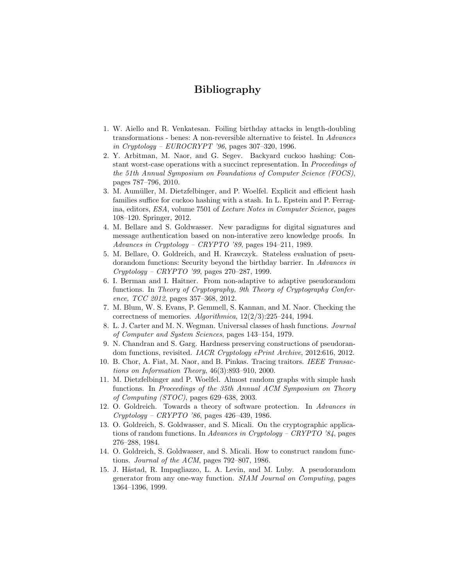## **Bibliography**

- <span id="page-18-11"></span>1. W. Aiello and R. Venkatesan. Foiling birthday attacks in length-doubling transformations - benes: A non-reversible alternative to feistel. In *Advances in Cryptology – EUROCRYPT '96*, pages 307–320, 1996.
- <span id="page-18-10"></span>2. Y. Arbitman, M. Naor, and G. Segev. Backyard cuckoo hashing: Constant worst-case operations with a succinct representation. In *Proceedings of the 51th Annual Symposium on Foundations of Computer Science (FOCS)*, pages 787–796, 2010.
- <span id="page-18-8"></span>3. M. Aumüller, M. Dietzfelbinger, and P. Woelfel. Explicit and efficient hash families suffice for cuckoo hashing with a stash. In L. Epstein and P. Ferragina, editors, *ESA*, volume 7501 of *Lecture Notes in Computer Science*, pages 108–120. Springer, 2012.
- <span id="page-18-3"></span>4. M. Bellare and S. Goldwasser. New paradigms for digital signatures and message authentication based on non-interative zero knowledge proofs. In *Advances in Cryptology – CRYPTO '89*, pages 194–211, 1989.
- <span id="page-18-12"></span>5. M. Bellare, O. Goldreich, and H. Krawczyk. Stateless evaluation of pseudorandom functions: Security beyond the birthday barrier. In *Advances in Cryptology – CRYPTO '99*, pages 270–287, 1999.
- <span id="page-18-0"></span>6. I. Berman and I. Haitner. From non-adaptive to adaptive pseudorandom functions. In *Theory of Cryptography, 9th Theory of Cryptography Conference, TCC 2012*, pages 357–368, 2012.
- <span id="page-18-4"></span>7. M. Blum, W. S. Evans, P. Gemmell, S. Kannan, and M. Naor. Checking the correctness of memories. *Algorithmica*, 12(2/3):225–244, 1994.
- <span id="page-18-14"></span>8. L. J. Carter and M. N. Wegman. Universal classes of hash functions. *Journal of Computer and System Sciences*, pages 143–154, 1979.
- <span id="page-18-13"></span>9. N. Chandran and S. Garg. Hardness preserving constructions of pseudorandom functions, revisited. *IACR Cryptology ePrint Archive*, 2012:616, 2012.
- <span id="page-18-5"></span>10. B. Chor, A. Fiat, M. Naor, and B. Pinkas. Tracing traitors. *IEEE Transactions on Information Theory*, 46(3):893–910, 2000.
- <span id="page-18-9"></span>11. M. Dietzfelbinger and P. Woelfel. Almost random graphs with simple hash functions. In *Proceedings of the 35th Annual ACM Symposium on Theory of Computing (STOC)*, pages 629–638, 2003.
- <span id="page-18-6"></span>12. O. Goldreich. Towards a theory of software protection. In *Advances in Cryptology – CRYPTO '86*, pages 426–439, 1986.
- <span id="page-18-2"></span>13. O. Goldreich, S. Goldwasser, and S. Micali. On the cryptographic applications of random functions. In *Advances in Cryptology – CRYPTO '84*, pages 276–288, 1984.
- <span id="page-18-1"></span>14. O. Goldreich, S. Goldwasser, and S. Micali. How to construct random functions. *Journal of the ACM*, pages 792–807, 1986.
- <span id="page-18-7"></span>15. J. Håstad, R. Impagliazzo, L. A. Levin, and M. Luby. A pseudorandom generator from any one-way function. *SIAM Journal on Computing*, pages 1364–1396, 1999.